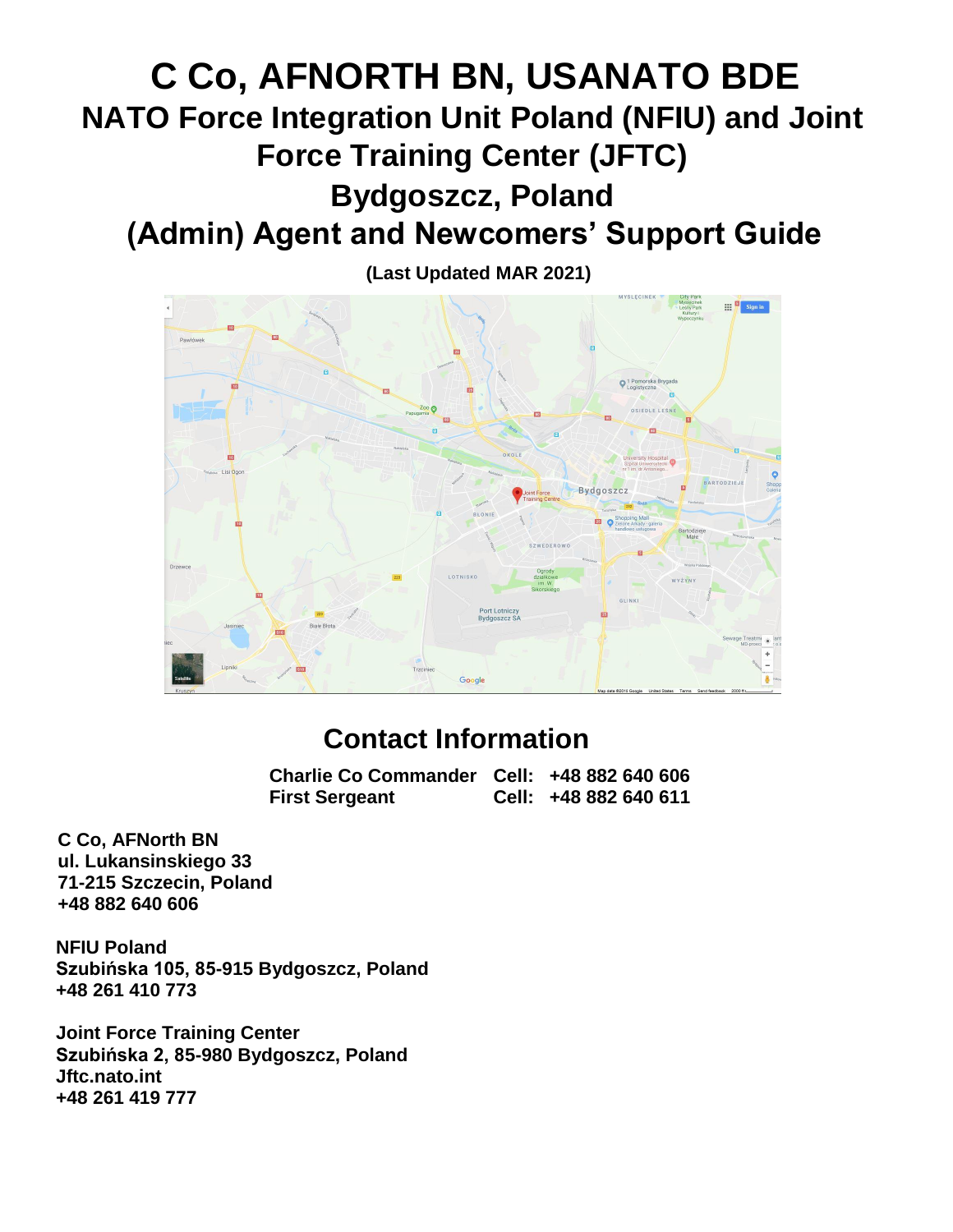# **C Co, AFNORTH BN, USANATO BDE NATO Force Integration Unit Poland (NFIU) and Joint Force Training Center (JFTC) Bydgoszcz, Poland (Admin) Agent and Newcomers' Support Guide**



## **Contact Information**

**Charlie Co Commander Cell: +48 882 640 606 First Sergeant Cell: +48 882 640 611**

**C Co, AFNorth BN ul. Lukansinskiego 33 71-215 Szczecin, Poland +48 882 640 606**

**NFIU Poland Szubińska 105, 85-915 Bydgoszcz, Poland +48 261 410 773**

**Joint Force Training Center Szubińska 2, 85-980 Bydgoszcz, Poland Jftc.nato.int +48 261 419 777**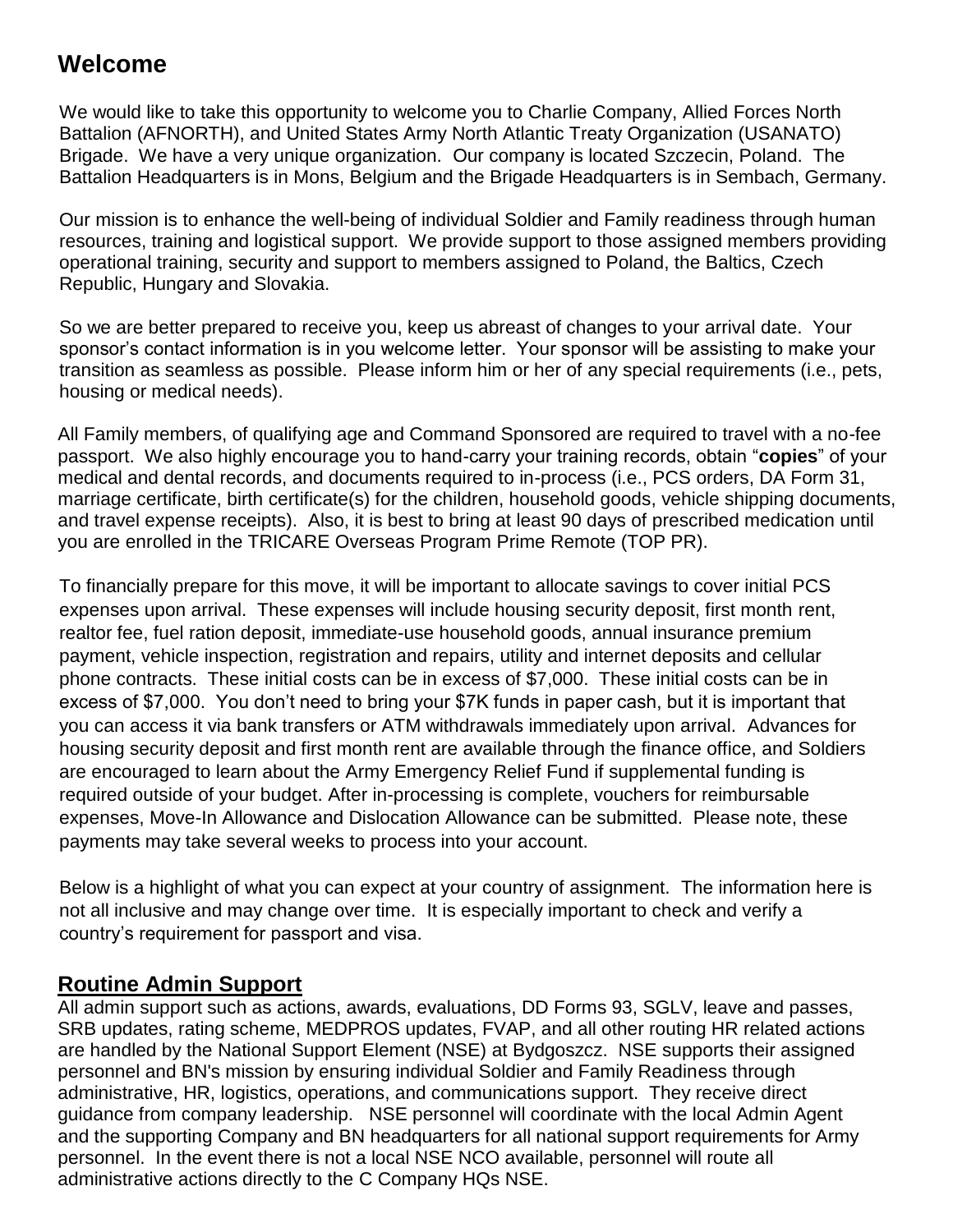### **Welcome**

We would like to take this opportunity to welcome you to Charlie Company, Allied Forces North Battalion (AFNORTH), and United States Army North Atlantic Treaty Organization (USANATO) Brigade. We have a very unique organization. Our company is located Szczecin, Poland. The Battalion Headquarters is in Mons, Belgium and the Brigade Headquarters is in Sembach, Germany.

Our mission is to enhance the well-being of individual Soldier and Family readiness through human resources, training and logistical support. We provide support to those assigned members providing operational training, security and support to members assigned to Poland, the Baltics, Czech Republic, Hungary and Slovakia.

So we are better prepared to receive you, keep us abreast of changes to your arrival date. Your sponsor's contact information is in you welcome letter. Your sponsor will be assisting to make your transition as seamless as possible. Please inform him or her of any special requirements (i.e., pets, housing or medical needs).

All Family members, of qualifying age and Command Sponsored are required to travel with a no-fee passport. We also highly encourage you to hand-carry your training records, obtain "**copies**" of your medical and dental records, and documents required to in-process (i.e., PCS orders, DA Form 31, marriage certificate, birth certificate(s) for the children, household goods, vehicle shipping documents, and travel expense receipts). Also, it is best to bring at least 90 days of prescribed medication until you are enrolled in the TRICARE Overseas Program Prime Remote (TOP PR).

To financially prepare for this move, it will be important to allocate savings to cover initial PCS expenses upon arrival. These expenses will include housing security deposit, first month rent, realtor fee, fuel ration deposit, immediate-use household goods, annual insurance premium payment, vehicle inspection, registration and repairs, utility and internet deposits and cellular phone contracts. These initial costs can be in excess of \$7,000. These initial costs can be in excess of \$7,000. You don't need to bring your \$7K funds in paper cash, but it is important that you can access it via bank transfers or ATM withdrawals immediately upon arrival. Advances for housing security deposit and first month rent are available through the finance office, and Soldiers are encouraged to learn about the Army Emergency Relief Fund if supplemental funding is required outside of your budget. After in-processing is complete, vouchers for reimbursable expenses, Move-In Allowance and Dislocation Allowance can be submitted. Please note, these payments may take several weeks to process into your account.

Below is a highlight of what you can expect at your country of assignment. The information here is not all inclusive and may change over time. It is especially important to check and verify a country's requirement for passport and visa.

### **Routine Admin Support**

All admin support such as actions, awards, evaluations, DD Forms 93, SGLV, leave and passes, SRB updates, rating scheme, MEDPROS updates, FVAP, and all other routing HR related actions are handled by the National Support Element (NSE) at Bydgoszcz. NSE supports their assigned personnel and BN's mission by ensuring individual Soldier and Family Readiness through administrative, HR, logistics, operations, and communications support. They receive direct guidance from company leadership. NSE personnel will coordinate with the local Admin Agent and the supporting Company and BN headquarters for all national support requirements for Army personnel. In the event there is not a local NSE NCO available, personnel will route all administrative actions directly to the C Company HQs NSE.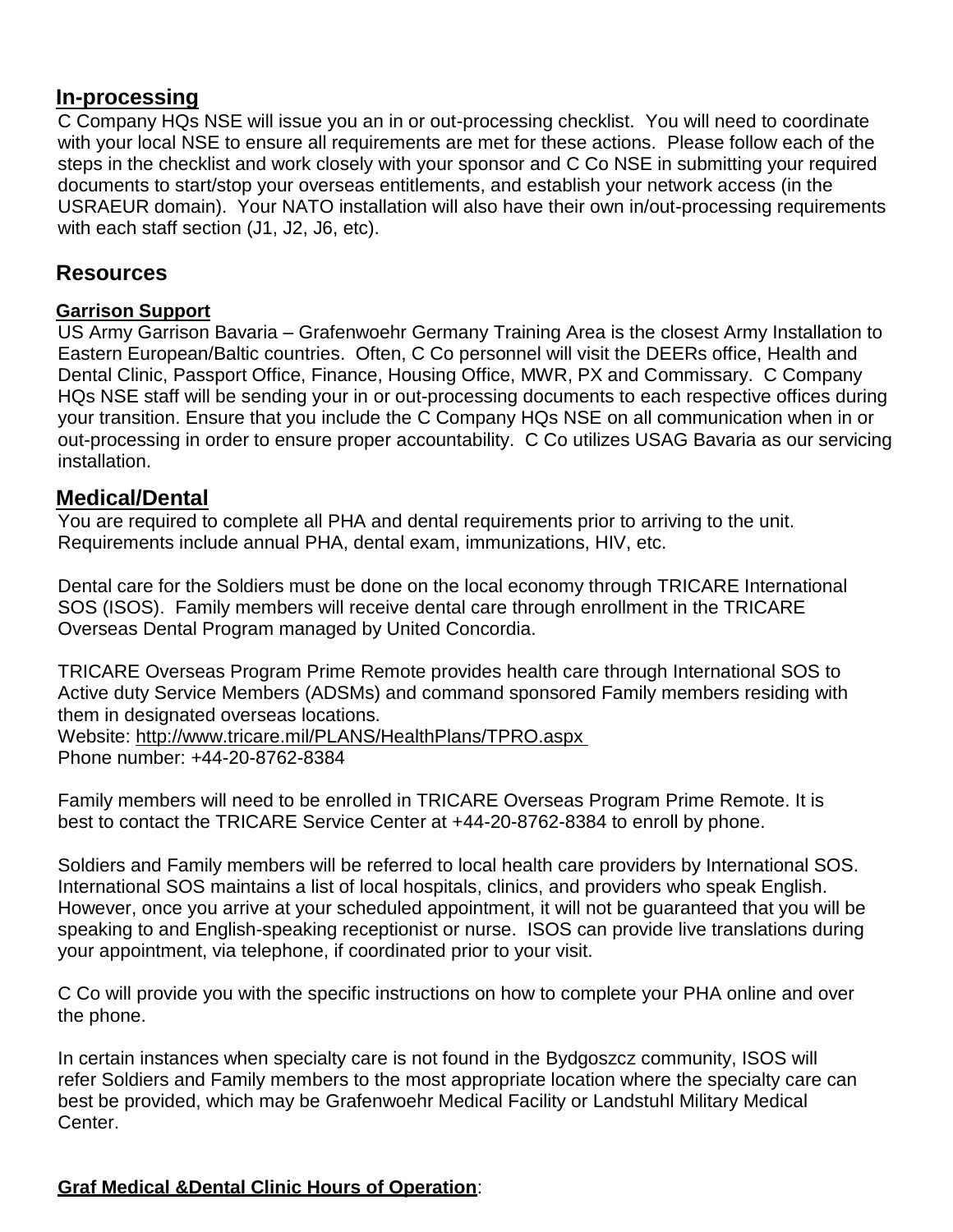### **In-processing**

C Company HQs NSE will issue you an in or out-processing checklist. You will need to coordinate with your local NSE to ensure all requirements are met for these actions. Please follow each of the steps in the checklist and work closely with your sponsor and C Co NSE in submitting your required documents to start/stop your overseas entitlements, and establish your network access (in the USRAEUR domain). Your NATO installation will also have their own in/out-processing requirements with each staff section (J1, J2, J6, etc).

### **Resources**

#### **Garrison Support**

US Army Garrison Bavaria – Grafenwoehr Germany Training Area is the closest Army Installation to Eastern European/Baltic countries. Often, C Co personnel will visit the DEERs office, Health and Dental Clinic, Passport Office, Finance, Housing Office, MWR, PX and Commissary. C Company HQs NSE staff will be sending your in or out-processing documents to each respective offices during your transition. Ensure that you include the C Company HQs NSE on all communication when in or out-processing in order to ensure proper accountability. C Co utilizes USAG Bavaria as our servicing installation.

### **Medical/Dental**

You are required to complete all PHA and dental requirements prior to arriving to the unit. Requirements include annual PHA, dental exam, immunizations, HIV, etc.

Dental care for the Soldiers must be done on the local economy through TRICARE International SOS (ISOS). Family members will receive dental care through enrollment in the TRICARE Overseas Dental Program managed by United Concordia.

TRICARE Overseas Program Prime Remote provides health care through International SOS to Active duty Service Members (ADSMs) and command sponsored Family members residing with them in designated overseas locations. Website:<http://www.tricare.mil/PLANS/HealthPlans/TPRO.aspx>

Phone number: +44-20-8762-8384

Family members will need to be enrolled in TRICARE Overseas Program Prime Remote. It is best to contact the TRICARE Service Center at +44-20-8762-8384 to enroll by phone.

Soldiers and Family members will be referred to local health care providers by International SOS. International SOS maintains a list of local hospitals, clinics, and providers who speak English. However, once you arrive at your scheduled appointment, it will not be guaranteed that you will be speaking to and English-speaking receptionist or nurse. ISOS can provide live translations during your appointment, via telephone, if coordinated prior to your visit.

C Co will provide you with the specific instructions on how to complete your PHA online and over the phone.

In certain instances when specialty care is not found in the Bydgoszcz community, ISOS will refer Soldiers and Family members to the most appropriate location where the specialty care can best be provided, which may be Grafenwoehr Medical Facility or Landstuhl Military Medical Center.

### **Graf Medical &Dental Clinic Hours of Operation**: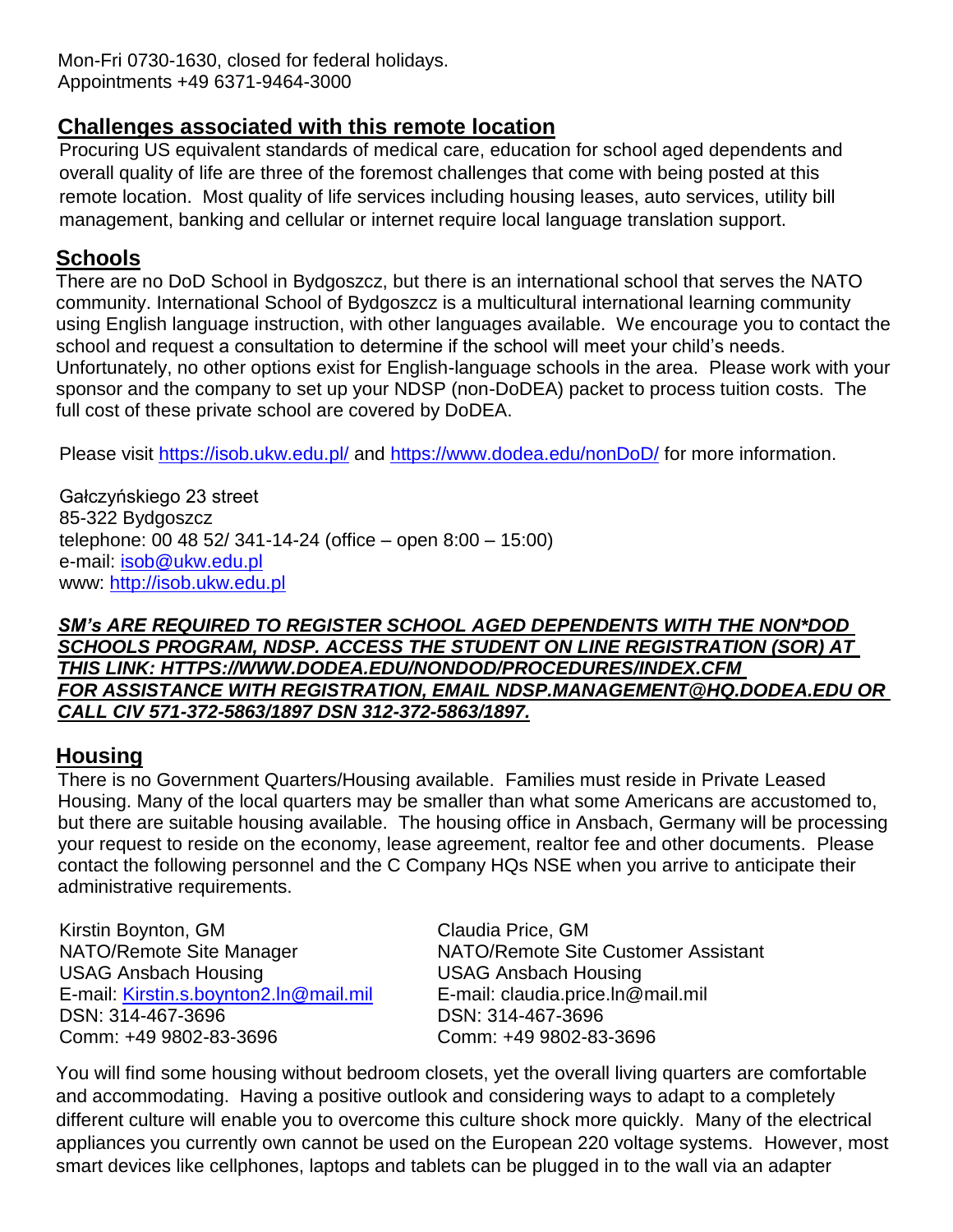Mon-Fri 0730-1630, closed for federal holidays. Appointments +49 6371-9464-3000

### **Challenges associated with this remote location**

Procuring US equivalent standards of medical care, education for school aged dependents and overall quality of life are three of the foremost challenges that come with being posted at this remote location. Most quality of life services including housing leases, auto services, utility bill management, banking and cellular or internet require local language translation support.

### **Schools**

There are no DoD School in Bydgoszcz, but there is an international school that serves the NATO community. International School of Bydgoszcz is a multicultural international learning community using English language instruction, with other languages available. We encourage you to contact the school and request a consultation to determine if the school will meet your child's needs. Unfortunately, no other options exist for English-language schools in the area. Please work with your sponsor and the company to set up your NDSP (non-DoDEA) packet to process tuition costs. The full cost of these private school are covered by DoDEA.

Please visit<https://isob.ukw.edu.pl/> and<https://www.dodea.edu/nonDoD/> for more information.

Gałczyńskiego 23 street 85-322 Bydgoszcz telephone: 00 48 52/ 341-14-24 (office – open 8:00 – 15:00) e-mail: [isob@ukw.edu.pl](mailto:isob@ukw.edu.pl) www: [http://isob.ukw.edu.pl](http://isob.ukw.edu.pl/)

#### *SM's ARE REQUIRED TO REGISTER SCHOOL AGED DEPENDENTS WITH THE NON\*DOD SCHOOLS PROGRAM, NDSP. ACCESS THE STUDENT ON LINE REGISTRATION (SOR) AT THIS LINK: HTTPS://WWW.DODEA.EDU/NONDOD/PROCEDURES/INDEX.CFM FOR ASSISTANCE WITH REGISTRATION, EMAIL NDSP.MANAGEMENT@HQ.DODEA.EDU OR CALL CIV 571-372-5863/1897 DSN 312-372-5863/1897.*

### **Housing**

There is no Government Quarters/Housing available. Families must reside in Private Leased Housing. Many of the local quarters may be smaller than what some Americans are accustomed to, but there are suitable housing available. The housing office in Ansbach, Germany will be processing your request to reside on the economy, lease agreement, realtor fee and other documents. Please contact the following personnel and the C Company HQs NSE when you arrive to anticipate their administrative requirements.

Kirstin Boynton, GM Claudia Price, GM USAG Ansbach Housing USAG Ansbach Housing E-mail: [Kirstin.s.boynton2.ln@mail.mil](mailto:Kirstin.s.boynton2.ln@mail.mil) E-mail: claudia.price.ln@mail.mil DSN: 314-467-3696 DSN: 314-467-3696 Comm: +49 9802-83-3696 Comm: +49 9802-83-3696

NATO/Remote Site Manager NATO/Remote Site Customer Assistant

You will find some housing without bedroom closets, yet the overall living quarters are comfortable and accommodating. Having a positive outlook and considering ways to adapt to a completely different culture will enable you to overcome this culture shock more quickly. Many of the electrical appliances you currently own cannot be used on the European 220 voltage systems. However, most smart devices like cellphones, laptops and tablets can be plugged in to the wall via an adapter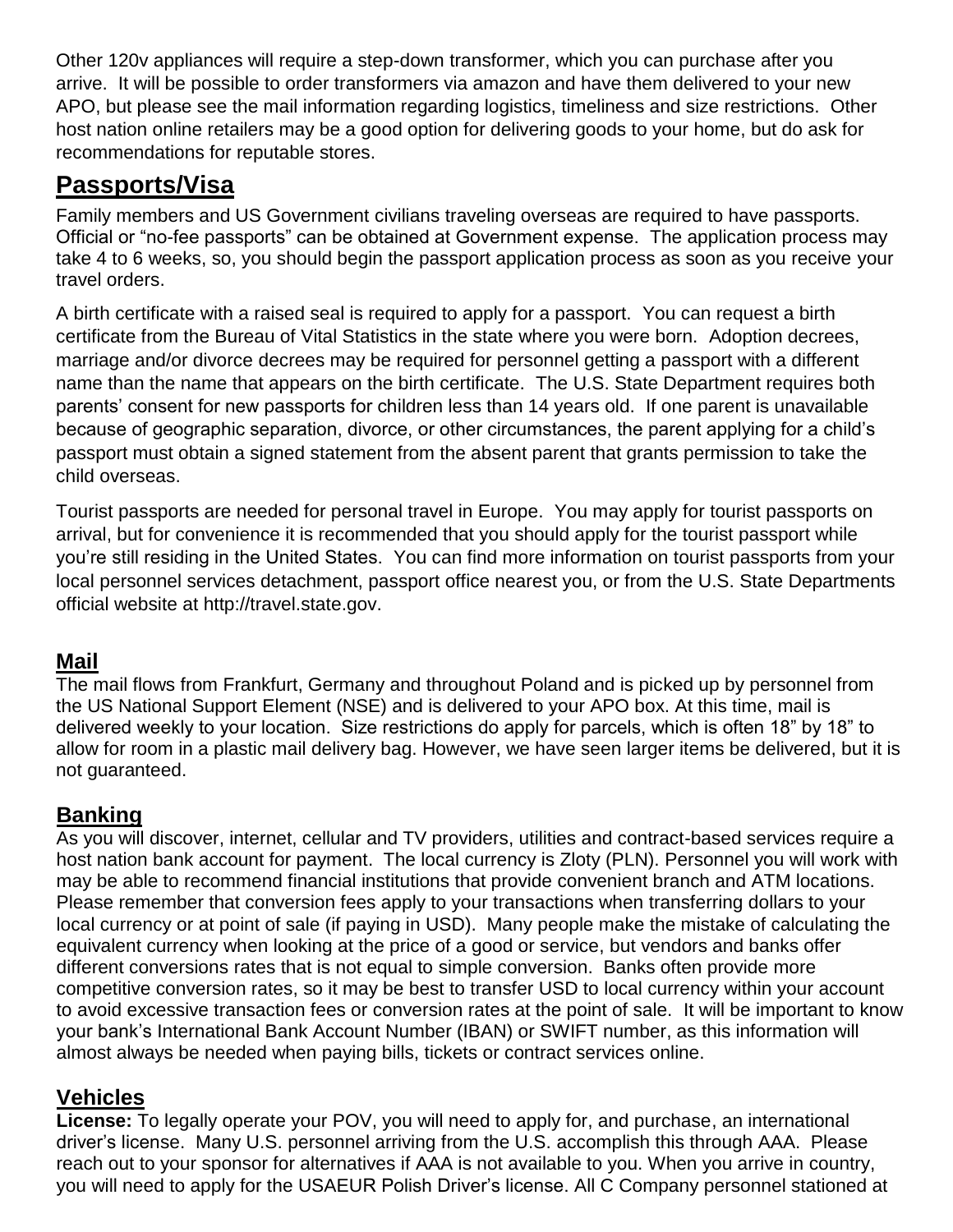Other 120v appliances will require a step-down transformer, which you can purchase after you arrive. It will be possible to order transformers via amazon and have them delivered to your new APO, but please see the mail information regarding logistics, timeliness and size restrictions. Other host nation online retailers may be a good option for delivering goods to your home, but do ask for recommendations for reputable stores.

### **Passports/Visa**

Family members and US Government civilians traveling overseas are required to have passports. Official or "no-fee passports" can be obtained at Government expense. The application process may take 4 to 6 weeks, so, you should begin the passport application process as soon as you receive your travel orders.

A birth certificate with a raised seal is required to apply for a passport. You can request a birth certificate from the Bureau of Vital Statistics in the state where you were born. Adoption decrees, marriage and/or divorce decrees may be required for personnel getting a passport with a different name than the name that appears on the birth certificate. The U.S. State Department requires both parents' consent for new passports for children less than 14 years old. If one parent is unavailable because of geographic separation, divorce, or other circumstances, the parent applying for a child's passport must obtain a signed statement from the absent parent that grants permission to take the child overseas.

Tourist passports are needed for personal travel in Europe. You may apply for tourist passports on arrival, but for convenience it is recommended that you should apply for the tourist passport while you're still residing in the United States. You can find more information on tourist passports from your local personnel services detachment, passport office nearest you, or from the U.S. State Departments official website at [http://travel.state.gov.](http://travel.state.gov/)

### **Mail**

The mail flows from Frankfurt, Germany and throughout Poland and is picked up by personnel from the US National Support Element (NSE) and is delivered to your APO box. At this time, mail is delivered weekly to your location. Size restrictions do apply for parcels, which is often 18" by 18" to allow for room in a plastic mail delivery bag. However, we have seen larger items be delivered, but it is not guaranteed.

### **Banking**

As you will discover, internet, cellular and TV providers, utilities and contract-based services require a host nation bank account for payment. The local currency is Zloty (PLN). Personnel you will work with may be able to recommend financial institutions that provide convenient branch and ATM locations. Please remember that conversion fees apply to your transactions when transferring dollars to your local currency or at point of sale (if paying in USD). Many people make the mistake of calculating the equivalent currency when looking at the price of a good or service, but vendors and banks offer different conversions rates that is not equal to simple conversion. Banks often provide more competitive conversion rates, so it may be best to transfer USD to local currency within your account to avoid excessive transaction fees or conversion rates at the point of sale. It will be important to know your bank's International Bank Account Number (IBAN) or SWIFT number, as this information will almost always be needed when paying bills, tickets or contract services online.

### **Vehicles**

**License:** To legally operate your POV, you will need to apply for, and purchase, an international driver's license. Many U.S. personnel arriving from the U.S. accomplish this through AAA. Please reach out to your sponsor for alternatives if AAA is not available to you. When you arrive in country, you will need to apply for the USAEUR Polish Driver's license. All C Company personnel stationed at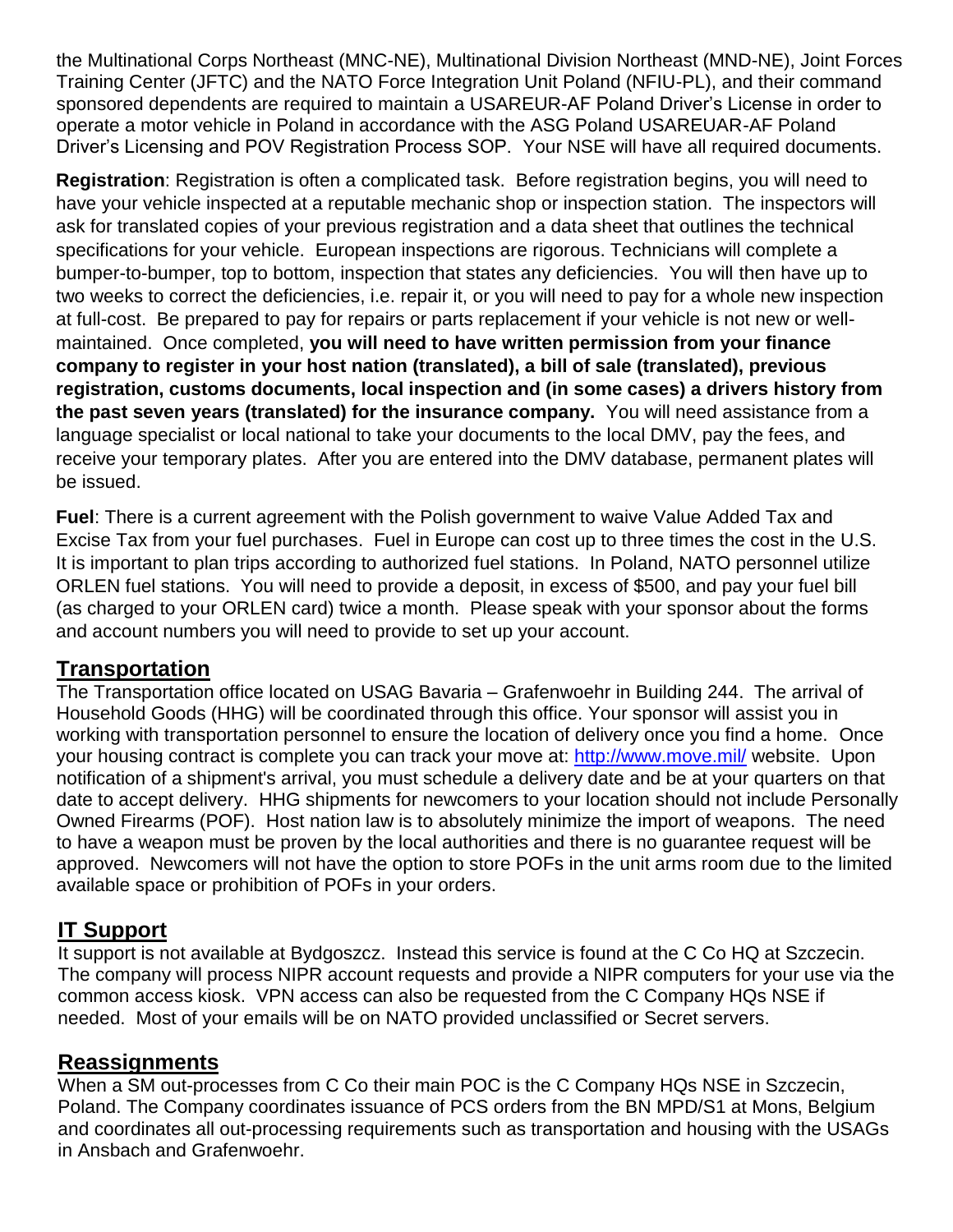the Multinational Corps Northeast (MNC-NE), Multinational Division Northeast (MND-NE), Joint Forces Training Center (JFTC) and the NATO Force Integration Unit Poland (NFIU-PL), and their command sponsored dependents are required to maintain a USAREUR-AF Poland Driver's License in order to operate a motor vehicle in Poland in accordance with the ASG Poland USAREUAR-AF Poland Driver's Licensing and POV Registration Process SOP. Your NSE will have all required documents.

**Registration**: Registration is often a complicated task. Before registration begins, you will need to have your vehicle inspected at a reputable mechanic shop or inspection station. The inspectors will ask for translated copies of your previous registration and a data sheet that outlines the technical specifications for your vehicle. European inspections are rigorous. Technicians will complete a bumper-to-bumper, top to bottom, inspection that states any deficiencies. You will then have up to two weeks to correct the deficiencies, i.e. repair it, or you will need to pay for a whole new inspection at full-cost. Be prepared to pay for repairs or parts replacement if your vehicle is not new or wellmaintained. Once completed, **you will need to have written permission from your finance company to register in your host nation (translated), a bill of sale (translated), previous registration, customs documents, local inspection and (in some cases) a drivers history from the past seven years (translated) for the insurance company.** You will need assistance from a language specialist or local national to take your documents to the local DMV, pay the fees, and receive your temporary plates. After you are entered into the DMV database, permanent plates will be issued.

**Fuel**: There is a current agreement with the Polish government to waive Value Added Tax and Excise Tax from your fuel purchases. Fuel in Europe can cost up to three times the cost in the U.S. It is important to plan trips according to authorized fuel stations. In Poland, NATO personnel utilize ORLEN fuel stations. You will need to provide a deposit, in excess of \$500, and pay your fuel bill (as charged to your ORLEN card) twice a month. Please speak with your sponsor about the forms and account numbers you will need to provide to set up your account.

### **Transportation**

The Transportation office located on USAG Bavaria – Grafenwoehr in Building 244. The arrival of Household Goods (HHG) will be coordinated through this office. Your sponsor will assist you in working with transportation personnel to ensure the location of delivery once you find a home. Once your housing contract is complete you can track your move at:<http://www.move.mil/> website. Upon notification of a shipment's arrival, you must schedule a delivery date and be at your quarters on that date to accept delivery. HHG shipments for newcomers to your location should not include Personally Owned Firearms (POF). Host nation law is to absolutely minimize the import of weapons. The need to have a weapon must be proven by the local authorities and there is no guarantee request will be approved. Newcomers will not have the option to store POFs in the unit arms room due to the limited available space or prohibition of POFs in your orders.

### **IT Support**

It support is not available at Bydgoszcz. Instead this service is found at the C Co HQ at Szczecin. The company will process NIPR account requests and provide a NIPR computers for your use via the common access kiosk. VPN access can also be requested from the C Company HQs NSE if needed. Most of your emails will be on NATO provided unclassified or Secret servers.

### **Reassignments**

When a SM out-processes from C Co their main POC is the C Company HQs NSE in Szczecin, Poland. The Company coordinates issuance of PCS orders from the BN MPD/S1 at Mons, Belgium and coordinates all out-processing requirements such as transportation and housing with the USAGs in Ansbach and Grafenwoehr.